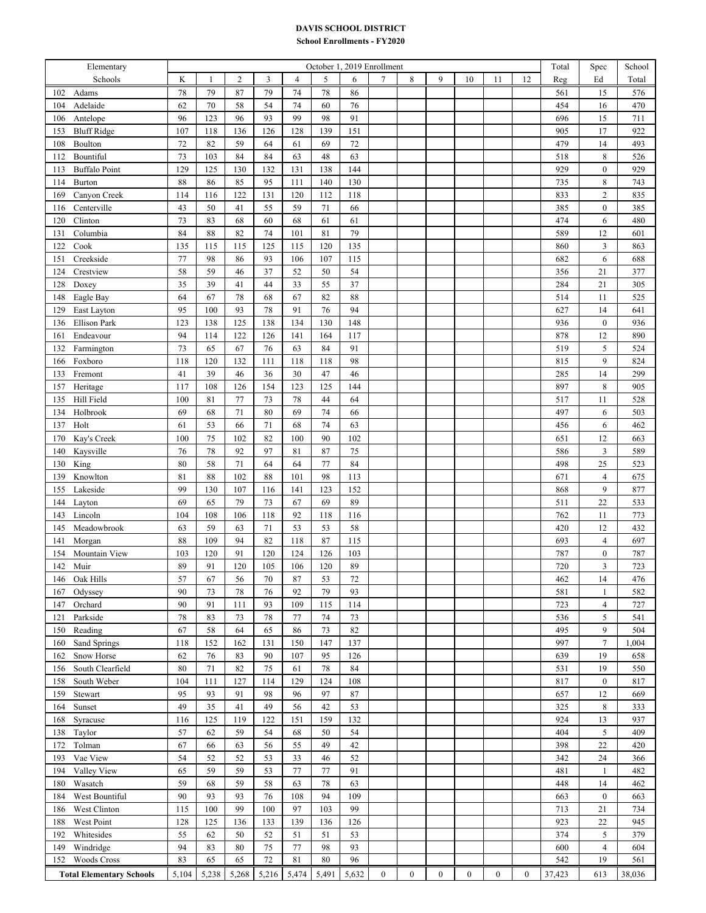## **DAVIS SCHOOL DISTRICT**

## **School Enrollments - FY2020**

| Elementary                            | October 1, 2019 Enrollment |              |                |           |            |           |            |                  |          |                  |                  | Total            | Spec         | School     |                                    |            |
|---------------------------------------|----------------------------|--------------|----------------|-----------|------------|-----------|------------|------------------|----------|------------------|------------------|------------------|--------------|------------|------------------------------------|------------|
| Schools                               | K                          | $\mathbf{1}$ | $\overline{c}$ | 3         | 4          | 5         | 6          | 7                | 8        | 9                | 10               | 11               | 12           | Reg        | Ed                                 | Total      |
| 102<br>Adams                          | 78                         | 79           | 87             | 79        | 74         | 78        | 86         |                  |          |                  |                  |                  |              | 561        | 15                                 | 576        |
| 104<br>Adelaide                       | 62                         | $70\,$       | 58             | 54        | 74         | 60        | $76\,$     |                  |          |                  |                  |                  |              | 454        | 16                                 | 470        |
| Antelope<br>106                       | 96                         | 123          | 96             | 93        | 99         | 98        | 91         |                  |          |                  |                  |                  |              | 696        | 15                                 | 711        |
| <b>Bluff Ridge</b><br>153             | 107                        | 118          | 136            | 126       | 128        | 139       | 151        |                  |          |                  |                  |                  |              | 905        | 17                                 | 922        |
| 108<br>Boulton                        | 72                         | 82           | 59             | 64        | 61         | 69        | 72         |                  |          |                  |                  |                  |              | 479        | 14                                 | 493        |
| Bountiful<br>112                      | 73                         | 103          | 84             | 84        | 63         | 48        | 63         |                  |          |                  |                  |                  |              | 518        | $\,$ 8 $\,$                        | 526        |
| <b>Buffalo Point</b><br>113           | 129                        | 125          | 130            | 132       | 131        | 138       | 144        |                  |          |                  |                  |                  |              | 929        | $\boldsymbol{0}$                   | 929        |
| Burton<br>114                         | $88\,$                     | 86           | 85             | 95        | 111        | 140       | 130        |                  |          |                  |                  |                  |              | 735        | $\,$ 8 $\,$                        | 743        |
| 169<br>Canyon Creek                   | 114                        | 116          | 122            | 131       | 120        | 112       | 118        |                  |          |                  |                  |                  |              | 833        | $\sqrt{2}$                         | 835        |
| Centerville<br>116                    | 43                         | 50           | 41             | 55        | 59         | 71        | 66         |                  |          |                  |                  |                  |              | 385        | $\boldsymbol{0}$                   | 385        |
| Clinton<br>120                        | 73                         | 83           | 68             | 60        | 68         | 61        | 61         |                  |          |                  |                  |                  |              | 474        | 6                                  | 480        |
| Columbia<br>131                       | 84                         | 88           | 82             | 74        | 101        | 81        | 79         |                  |          |                  |                  |                  |              | 589        | 12                                 | 601        |
| Cook<br>122                           | 135                        | 115          | 115            | 125       | 115        | 120       | 135        |                  |          |                  |                  |                  |              | 860        | $\overline{3}$                     | 863        |
| Creekside<br>151                      | $77 \,$                    | 98           | 86             | 93        | 106        | 107       | 115        |                  |          |                  |                  |                  |              | 682        | 6                                  | 688        |
| Crestview<br>124                      | 58                         | 59           | 46             | 37        | 52         | 50        | 54         |                  |          |                  |                  |                  |              | 356        | 21                                 | 377        |
| 128<br>Doxey                          | 35                         | 39           | 41             | 44        | 33         | 55        | 37         |                  |          |                  |                  |                  |              | 284        | 21                                 | 305        |
| Eagle Bay<br>148                      | 64                         | 67           | 78             | 68        | 67         | 82        | 88         |                  |          |                  |                  |                  |              | 514        | 11                                 | 525        |
| East Layton<br>129                    | 95                         | 100          | 93             | 78        | 91         | 76        | 94         |                  |          |                  |                  |                  |              | 627        | 14                                 | 641        |
| <b>Ellison Park</b><br>136            | 123                        | 138          | 125            | 138       | 134        | 130       | 148        |                  |          |                  |                  |                  |              | 936        | $\boldsymbol{0}$                   | 936        |
| Endeavour<br>161                      | 94                         | 114          | 122            | 126       | 141        | 164       | 117        |                  |          |                  |                  |                  |              | 878        | 12                                 | 890        |
| Farmington<br>132                     | 73                         | 65           | 67             | 76        | 63         | 84        | 91         |                  |          |                  |                  |                  |              | 519        | 5                                  | 524        |
| 166<br>Foxboro                        | 118                        | 120          | 132            | 111       | 118        | 118       | 98         |                  |          |                  |                  |                  |              | 815        | $\overline{9}$                     | 824        |
| Fremont<br>133                        | 41                         | 39           | 46             | 36        | 30         | 47        | 46         |                  |          |                  |                  |                  |              | 285        | 14                                 | 299        |
| 157<br>Heritage                       | 117                        | 108          | 126            | 154       | 123        | 125       | 144        |                  |          |                  |                  |                  |              | 897        | $\,$ 8 $\,$                        | 905        |
| Hill Field<br>135                     | 100                        | 81           | 77             | 73        | $78\,$     | 44        | 64         |                  |          |                  |                  |                  |              | 517        | 11                                 | 528        |
| Holbrook<br>134                       | 69                         | 68           | 71             | 80        | 69         | 74        | 66         |                  |          |                  |                  |                  |              | 497        | 6                                  | 503        |
| Holt<br>137                           | 61                         | 53           | 66             | 71        | 68         | 74        | 63         |                  |          |                  |                  |                  |              | 456        | 6                                  | 462        |
| Kay's Creek<br>170                    | 100                        | 75           | 102            | 82        | 100        | 90        | 102        |                  |          |                  |                  |                  |              | 651        | 12                                 | 663        |
| 140<br>Kaysville                      | $76\,$                     | 78           | 92             | 97        | 81         | 87        | 75         |                  |          |                  |                  |                  |              | 586        | $\mathfrak{Z}$                     | 589        |
| King<br>130                           | $80\,$                     | 58           | 71             | 64        | 64         | 77        | 84         |                  |          |                  |                  |                  |              | 498        | 25                                 | 523        |
| Knowlton<br>139                       | 81                         | 88           | 102            | 88        | 101        | 98        | 113        |                  |          |                  |                  |                  |              | 671        | $\overline{4}$                     | 675        |
| 155<br>Lakeside                       | 99                         | 130          | 107            | 116       | 141        | 123       | 152        |                  |          |                  |                  |                  |              | 868        | $\overline{9}$                     | 877        |
| Layton<br>144<br>Lincoln              | 69<br>104                  | 65<br>108    | 79<br>106      | 73<br>118 | 67<br>92   | 69<br>118 | 89<br>116  |                  |          |                  |                  |                  |              | 511<br>762 | 22                                 | 533<br>773 |
| 143                                   |                            | 59           | 63             | 71        | 53         | 53        | 58         |                  |          |                  |                  |                  |              |            | 11                                 |            |
| 145<br>Meadowbrook                    | 63                         |              |                |           |            |           |            |                  |          |                  |                  |                  |              | 420        | 12                                 | 432        |
| 141<br>Morgan<br>Mountain View<br>154 | $88\,$<br>103              | 109<br>120   | 94<br>91       | 82<br>120 | 118<br>124 | 87<br>126 | 115<br>103 |                  |          |                  |                  |                  |              | 693<br>787 | $\overline{4}$<br>$\boldsymbol{0}$ | 697<br>787 |
| Muir<br>142                           | 89                         | 91           | 120            | 105       | 106        | 120       | 89         |                  |          |                  |                  |                  |              | 720        | $\overline{3}$                     | 723        |
| Oak Hills<br>146                      | 57                         | 67           | 56             | 70        | 87         | 53        | 72         |                  |          |                  |                  |                  |              | 462        | 14                                 | 476        |
| 167<br>Odyssey                        | 90                         | 73           | 78             | 76        | 92         | 79        | 93         |                  |          |                  |                  |                  |              | 581        | 1                                  | 582        |
| 147<br>Orchard                        | 90                         | 91           | 111            | 93        | 109        | 115       | 114        |                  |          |                  |                  |                  |              | 723        | $\overline{4}$                     | 727        |
| Parkside<br>121                       | 78                         | 83           | 73             | 78        | 77         | 74        | 73         |                  |          |                  |                  |                  |              | 536        | 5                                  | 541        |
| Reading<br>150                        | 67                         | 58           | 64             | 65        | 86         | 73        | 82         |                  |          |                  |                  |                  |              | 495        | 9                                  | 504        |
| 160<br>Sand Springs                   | 118                        | 152          | 162            | 131       | 150        | 147       | 137        |                  |          |                  |                  |                  |              | 997        | $\overline{7}$                     | 1,004      |
| Snow Horse<br>162                     | 62                         | 76           | 83             | 90        | 107        | 95        | 126        |                  |          |                  |                  |                  |              | 639        | 19                                 | 658        |
| South Clearfield<br>156               | 80                         | 71           | 82             | 75        | 61         | 78        | 84         |                  |          |                  |                  |                  |              | 531        | 19                                 | 550        |
| South Weber<br>158                    | 104                        | 111          | 127            | 114       | 129        | 124       | 108        |                  |          |                  |                  |                  |              | 817        | $\boldsymbol{0}$                   | 817        |
| Stewart<br>159                        | 95                         | 93           | 91             | 98        | 96         | 97        | 87         |                  |          |                  |                  |                  |              | 657        | 12                                 | 669        |
| 164<br>Sunset                         | 49                         | 35           | 41             | 49        | 56         | 42        | 53         |                  |          |                  |                  |                  |              | 325        | $\,$ 8 $\,$                        | 333        |
| 168<br>Syracuse                       | 116                        | 125          | 119            | 122       | 151        | 159       | 132        |                  |          |                  |                  |                  |              | 924        | 13                                 | 937        |
| 138<br>Taylor                         | 57                         | 62           | 59             | 54        | 68         | 50        | 54         |                  |          |                  |                  |                  |              | 404        | 5                                  | 409        |
| Tolman<br>172                         | 67                         | 66           | 63             | 56        | 55         | 49        | 42         |                  |          |                  |                  |                  |              | 398        | 22                                 | 420        |
| Vae View<br>193                       | 54                         | 52           | 52             | 53        | 33         | 46        | 52         |                  |          |                  |                  |                  |              | 342        | 24                                 | 366        |
| 194<br>Valley View                    | 65                         | 59           | 59             | 53        | 77         | 77        | 91         |                  |          |                  |                  |                  |              | 481        | $\mathbf{1}$                       | 482        |
| Wasatch<br>180                        | 59                         | 68           | 59             | 58        | 63         | 78        | 63         |                  |          |                  |                  |                  |              | 448        | 14                                 | 462        |
| West Bountiful<br>184                 | 90                         | 93           | 93             | 76        | 108        | 94        | 109        |                  |          |                  |                  |                  |              | 663        | $\boldsymbol{0}$                   | 663        |
| West Clinton<br>186                   | 115                        | 100          | 99             | 100       | 97         | 103       | 99         |                  |          |                  |                  |                  |              | 713        | 21                                 | 734        |
| West Point<br>188                     | 128                        | 125          | 136            | 133       | 139        | 136       | 126        |                  |          |                  |                  |                  |              | 923        | 22                                 | 945        |
| Whitesides<br>192                     | 55                         | 62           | 50             | 52        | 51         | 51        | 53         |                  |          |                  |                  |                  |              | 374        | 5                                  | 379        |
| Windridge<br>149                      | 94                         | 83           | 80             | 75        | $77 \,$    | 98        | 93         |                  |          |                  |                  |                  |              | 600        | $\overline{4}$                     | 604        |
| <b>Woods Cross</b><br>152             | 83                         | 65           | 65             | 72        | 81         | 80        | 96         |                  |          |                  |                  |                  |              | 542        | 19                                 | 561        |
| <b>Total Elementary Schools</b>       | 5,104                      | 5,238        | 5,268          | 5,216     | 5,474      | 5,491     | 5,632      | $\boldsymbol{0}$ | $\bf{0}$ | $\boldsymbol{0}$ | $\boldsymbol{0}$ | $\boldsymbol{0}$ | $\mathbf{0}$ | 37,423     | 613                                | 38,036     |